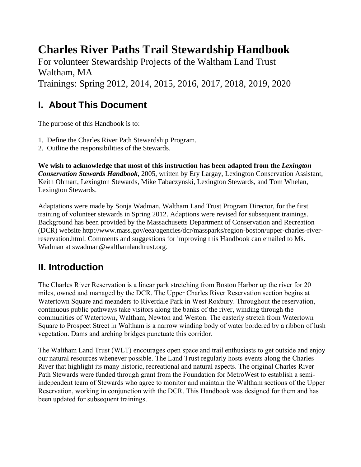# **Charles River Paths Trail Stewardship Handbook**

For volunteer Stewardship Projects of the Waltham Land Trust Waltham, MA Trainings: Spring 2012, 2014, 2015, 2016, 2017, 2018, 2019, 2020

# **I. About This Document**

The purpose of this Handbook is to:

- 1. Define the Charles River Path Stewardship Program.
- 2. Outline the responsibilities of the Stewards.

**We wish to acknowledge that most of this instruction has been adapted from the** *Lexington Conservation Stewards Handbook*, 2005, written by Ery Largay, Lexington Conservation Assistant, Keith Ohmart, Lexington Stewards, Mike Tabaczynski, Lexington Stewards, and Tom Whelan, Lexington Stewards.

Adaptations were made by Sonja Wadman, Waltham Land Trust Program Director, for the first training of volunteer stewards in Spring 2012. Adaptions were revised for subsequent trainings. Background has been provided by the Massachusetts Department of Conservation and Recreation (DCR) website http://www.mass.gov/eea/agencies/dcr/massparks/region-boston/upper-charles-riverreservation.html. Comments and suggestions for improving this Handbook can emailed to Ms. Wadman at swadman@walthamlandtrust.org.

# **II. Introduction**

The Charles River Reservation is a linear park stretching from Boston Harbor up the river for 20 miles, owned and managed by the DCR. The Upper Charles River Reservation section begins at Watertown Square and meanders to Riverdale Park in West Roxbury. Throughout the reservation, continuous public pathways take visitors along the banks of the river, winding through the communities of Watertown, Waltham, Newton and Weston. The easterly stretch from Watertown Square to Prospect Street in Waltham is a narrow winding body of water bordered by a ribbon of lush vegetation. Dams and arching bridges punctuate this corridor.

The Waltham Land Trust (WLT) encourages open space and trail enthusiasts to get outside and enjoy our natural resources whenever possible. The Land Trust regularly hosts events along the Charles River that highlight its many historic, recreational and natural aspects. The original Charles River Path Stewards were funded through grant from the Foundation for MetroWest to establish a semiindependent team of Stewards who agree to monitor and maintain the Waltham sections of the Upper Reservation, working in conjunction with the DCR. This Handbook was designed for them and has been updated for subsequent trainings.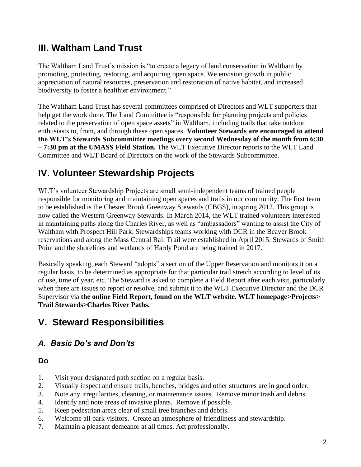# **III. Waltham Land Trust**

The Waltham Land Trust's mission is "to create a legacy of land conservation in Waltham by promoting, protecting, restoring, and acquiring open space. We envision growth in public appreciation of natural resources, preservation and restoration of native habitat, and increased biodiversity to foster a healthier environment."

The Waltham Land Trust has several committees comprised of Directors and WLT supporters that help get the work done. The Land Committee is "responsible for planning projects and policies related to the preservation of open space assets" in Waltham, including trails that take outdoor enthusiasts to, from, and through these open spaces. **Volunteer Stewards are encouraged to attend the WLT's Stewards Subcommittee meetings every second Wednesday of the month from 6:30 – 7:30 pm at the UMASS Field Station.** The WLT Executive Director reports to the WLT Land Committee and WLT Board of Directors on the work of the Stewards Subcommittee.

# **IV. Volunteer Stewardship Projects**

WLT's volunteer Stewardship Projects are small semi-independent teams of trained people responsible for monitoring and maintaining open spaces and trails in our community. The first team to be established is the Chester Brook Greenway Stewards (CBGS), in spring 2012. This group is now called the Western Greenway Stewards. In March 2014, the WLT trained volunteers interested in maintaining paths along the Charles River, as well as "ambassadors" wanting to assist the City of Waltham with Prospect Hill Park. Stewardships teams working with DCR in the Beaver Brook reservations and along the Mass Central Rail Trail were established in April 2015. Stewards of Smith Point and the shorelines and wetlands of Hardy Pond are being trained in 2017.

Basically speaking, each Steward "adopts" a section of the Upper Reservation and monitors it on a regular basis, to be determined as appropriate for that particular trail stretch according to level of its of use, time of year, etc. The Steward is asked to complete a Field Report after each visit, particularly when there are issues to report or resolve, and submit it to the WLT Executive Director and the DCR Supervisor via **the online Field Report, found on the WLT website. WLT homepage>Projects> Trail Stewards>Charles River Paths.**

# **V. Steward Responsibilities**

## *A. Basic Do's and Don'ts*

#### **Do**

- 1. Visit your designated path section on a regular basis.
- 2. Visually inspect and ensure trails, benches, bridges and other structures are in good order.
- 3. Note any irregularities, cleaning, or maintenance issues. Remove minor trash and debris.
- 4. Identify and note areas of invasive plants. Remove if possible.
- 5. Keep pedestrian areas clear of small tree branches and debris.
- 6. Welcome all park visitors. Create an atmosphere of friendliness and stewardship.
- 7. Maintain a pleasant demeanor at all times. Act professionally.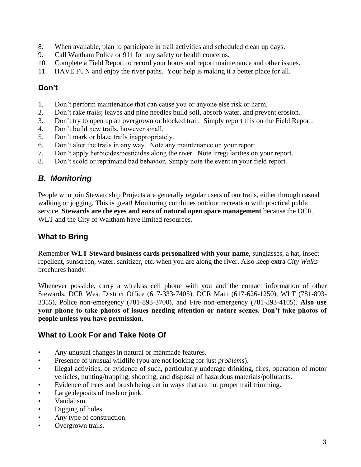- 8. When available, plan to participate in trail activities and scheduled clean up days.
- 9. Call Waltham Police or 911 for any safety or health concerns.
- 10. Complete a Field Report to record your hours and report maintenance and other issues.
- 11. HAVE FUN and enjoy the river paths. Your help is making it a better place for all.

#### **Don't**

- 1. Don't perform maintenance that can cause you or anyone else risk or harm.
- 2. Don't rake trails; leaves and pine needles build soil, absorb water, and prevent erosion.
- 3. Don't try to open up an overgrown or blocked trail. Simply report this on the Field Report.
- 4. Don't build new trails, however small.
- 5. Don't mark or blaze trails inappropriately.
- 6. Don't alter the trails in any way. Note any maintenance on your report.
- 7. Don't apply herbicides/pesticides along the river. Note irregularities on your report.
- 8. Don't scold or reprimand bad behavior. Simply note the event in your field report.

## *B. Monitoring*

People who join Stewardship Projects are generally regular users of our trails, either through casual walking or jogging. This is great! Monitoring combines outdoor recreation with practical public service. **Stewards are the eyes and ears of natural open space management** because the DCR, WLT and the City of Waltham have limited resources.

## **What to Bring**

Remember **WLT Steward business cards personalized with your name**, sunglasses, a hat, insect repellent, sunscreen, water, sanitizer, etc. when you are along the river. Also keep extra *City Walks* brochures handy.

Whenever possible, carry a wireless cell phone with you and the contact information of other Stewards, DCR West District Office (617-333-7405), DCR Main (617-626-1250), WLT (781-893- 3355), Police non-emergency (781-893-3700), and Fire non-emergency (781-893-4105). **Also use your phone to take photos of issues needing attention or nature scenes. Don't take photos of people unless you have permission.**

### **What to Look For and Take Note Of**

- Any unusual changes in natural or manmade features.
- Presence of unusual wildlife (you are not looking for just *problems*).
- Illegal activities, or evidence of such, particularly underage drinking, fires, operation of motor vehicles, hunting/trapping, shooting, and disposal of hazardous materials/pollutants.
- Evidence of trees and brush being cut in ways that are not proper trail trimming.
- Large deposits of trash or junk.
- Vandalism.
- Digging of holes.
- Any type of construction.
- Overgrown trails.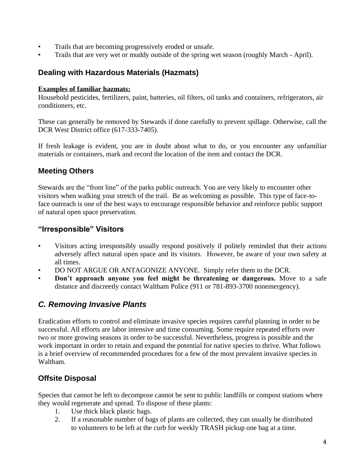- Trails that are becoming progressively eroded or unsafe.
- Trails that are very wet or muddy outside of the spring wet season (roughly March April).

#### **Dealing with Hazardous Materials (Hazmats)**

#### **Examples of familiar hazmats:**

Household pesticides, fertilizers, paint, batteries, oil filters, oil tanks and containers, refrigerators, air conditioners, etc.

These can generally be removed by Stewards if done carefully to prevent spillage. Otherwise, call the DCR West District office (617-333-7405).

If fresh leakage is evident, you are in doubt about what to do, or you encounter any unfamiliar materials or containers, mark and record the location of the item and contact the DCR.

#### **Meeting Others**

Stewards are the "front line" of the parks public outreach. You are very likely to encounter other visitors when walking your stretch of the trail. Be as welcoming as possible. This type of face-toface outreach is one of the best ways to encourage responsible behavior and reinforce public support of natural open space preservation.

#### **"Irresponsible" Visitors**

- Visitors acting irresponsibly usually respond positively if politely reminded that their actions adversely affect natural open space and its visitors. However, be aware of your own safety at all times.
- DO NOT ARGUE OR ANTAGONIZE ANYONE. Simply refer them to the DCR.
- **Don't approach anyone you feel might be threatening or dangerous.** Move to a safe distance and discreetly contact Waltham Police (911 or 781-893-3700 nonemergency).

## *C. Removing Invasive Plants*

Eradication efforts to control and eliminate invasive species requires careful planning in order to be successful. All efforts are labor intensive and time consuming. Some require repeated efforts over two or more growing seasons in order to be successful. Nevertheless, progress is possible and the work important in order to retain and expand the potential for native species to thrive. What follows is a brief overview of recommended procedures for a few of the most prevalent invasive species in Waltham.

### **Offsite Disposal**

Species that cannot be left to decompose cannot be sent to public landfills or compost stations where they would regenerate and spread. To dispose of these plants:

- 1. Use thick black plastic bags.
- 2. If a reasonable number of bags of plants are collected, they can usually be distributed to volunteers to be left at the curb for weekly TRASH pickup one bag at a time.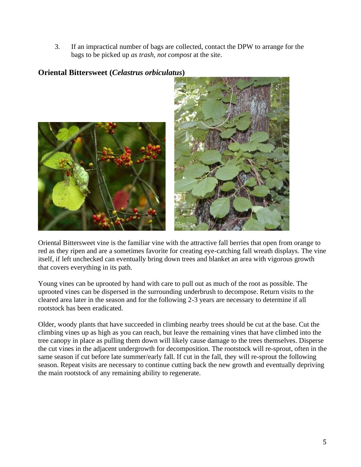3. If an impractical number of bags are collected, contact the DPW to arrange for the bags to be picked up *as trash, not compost* at the site.

#### **Oriental Bittersweet (***Celastrus orbiculatus***)**





Oriental Bittersweet vine is the familiar vine with the attractive fall berries that open from orange to red as they ripen and are a sometimes favorite for creating eye-catching fall wreath displays. The vine itself, if left unchecked can eventually bring down trees and blanket an area with vigorous growth that covers everything in its path.

Young vines can be uprooted by hand with care to pull out as much of the root as possible. The uprooted vines can be dispersed in the surrounding underbrush to decompose. Return visits to the cleared area later in the season and for the following 2-3 years are necessary to determine if all rootstock has been eradicated.

Older, woody plants that have succeeded in climbing nearby trees should be cut at the base. Cut the climbing vines up as high as you can reach, but leave the remaining vines that have climbed into the tree canopy in place as pulling them down will likely cause damage to the trees themselves. Disperse the cut vines in the adjacent undergrowth for decomposition. The rootstock will re-sprout, often in the same season if cut before late summer/early fall. If cut in the fall, they will re-sprout the following season. Repeat visits are necessary to continue cutting back the new growth and eventually depriving the main rootstock of any remaining ability to regenerate.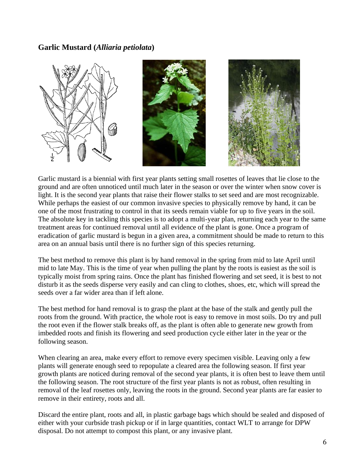#### **Garlic Mustard (***Alliaria petiolata***)**



Garlic mustard is a biennial with first year plants setting small rosettes of leaves that lie close to the ground and are often unnoticed until much later in the season or over the winter when snow cover is light. It is the second year plants that raise their flower stalks to set seed and are most recognizable. While perhaps the easiest of our common invasive species to physically remove by hand, it can be one of the most frustrating to control in that its seeds remain viable for up to five years in the soil. The absolute key in tackling this species is to adopt a multi-year plan, returning each year to the same treatment areas for continued removal until all evidence of the plant is gone. Once a program of eradication of garlic mustard is begun in a given area, a commitment should be made to return to this area on an annual basis until there is no further sign of this species returning.

The best method to remove this plant is by hand removal in the spring from mid to late April until mid to late May. This is the time of year when pulling the plant by the roots is easiest as the soil is typically moist from spring rains. Once the plant has finished flowering and set seed, it is best to not disturb it as the seeds disperse very easily and can cling to clothes, shoes, etc, which will spread the seeds over a far wider area than if left alone.

The best method for hand removal is to grasp the plant at the base of the stalk and gently pull the roots from the ground. With practice, the whole root is easy to remove in most soils. Do try and pull the root even if the flower stalk breaks off, as the plant is often able to generate new growth from imbedded roots and finish its flowering and seed production cycle either later in the year or the following season.

When clearing an area, make every effort to remove every specimen visible. Leaving only a few plants will generate enough seed to repopulate a cleared area the following season. If first year growth plants are noticed during removal of the second year plants, it is often best to leave them until the following season. The root structure of the first year plants is not as robust, often resulting in removal of the leaf rosettes only, leaving the roots in the ground. Second year plants are far easier to remove in their entirety, roots and all.

Discard the entire plant, roots and all, in plastic garbage bags which should be sealed and disposed of either with your curbside trash pickup or if in large quantities, contact WLT to arrange for DPW disposal. Do not attempt to compost this plant, or any invasive plant.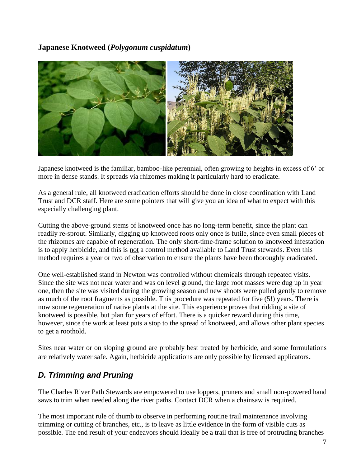**Japanese Knotweed (***Polygonum cuspidatum***)**



Japanese knotweed is the familiar, bamboo-like perennial, often growing to heights in excess of 6' or more in dense stands. It spreads via rhizomes making it particularly hard to eradicate.

As a general rule, all knotweed eradication efforts should be done in close coordination with Land Trust and DCR staff. Here are some pointers that will give you an idea of what to expect with this especially challenging plant.

Cutting the above-ground stems of knotweed once has no long-term benefit, since the plant can readily re-sprout. Similarly, digging up knotweed roots only once is futile, since even small pieces of the rhizomes are capable of regeneration. The only short-time-frame solution to knotweed infestation is to apply herbicide, and this is not a control method available to Land Trust stewards. Even this method requires a year or two of observation to ensure the plants have been thoroughly eradicated.

One well-established stand in Newton was controlled without chemicals through repeated visits. Since the site was not near water and was on level ground, the large root masses were dug up in year one, then the site was visited during the growing season and new shoots were pulled gently to remove as much of the root fragments as possible. This procedure was repeated for five (5!) years. There is now some regeneration of native plants at the site. This experience proves that ridding a site of knotweed is possible, but plan for years of effort. There is a quicker reward during this time, however, since the work at least puts a stop to the spread of knotweed, and allows other plant species to get a roothold.

Sites near water or on sloping ground are probably best treated by herbicide, and some formulations are relatively water safe. Again, herbicide applications are only possible by licensed applicators.

## *D. Trimming and Pruning*

The Charles River Path Stewards are empowered to use loppers, pruners and small non-powered hand saws to trim when needed along the river paths. Contact DCR when a chainsaw is required.

The most important rule of thumb to observe in performing routine trail maintenance involving trimming or cutting of branches, etc., is to leave as little evidence in the form of visible cuts as possible. The end result of your endeavors should ideally be a trail that is free of protruding branches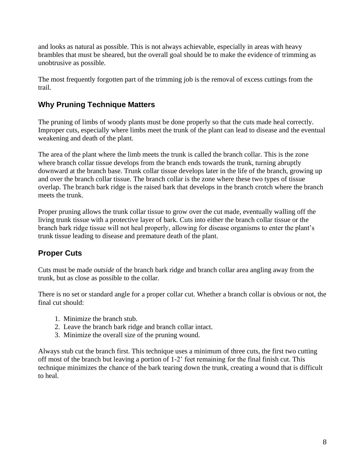and looks as natural as possible. This is not always achievable, especially in areas with heavy brambles that must be sheared, but the overall goal should be to make the evidence of trimming as unobtrusive as possible.

The most frequently forgotten part of the trimming job is the removal of excess cuttings from the trail.

#### **Why Pruning Technique Matters**

The pruning of limbs of woody plants must be done properly so that the cuts made heal correctly. Improper cuts, especially where limbs meet the trunk of the plant can lead to disease and the eventual weakening and death of the plant.

The area of the plant where the limb meets the trunk is called the branch collar. This is the zone where branch collar tissue develops from the branch ends towards the trunk, turning abruptly downward at the branch base. Trunk collar tissue develops later in the life of the branch, growing up and over the branch collar tissue. The branch collar is the zone where these two types of tissue overlap. The branch bark ridge is the raised bark that develops in the branch crotch where the branch meets the trunk.

Proper pruning allows the trunk collar tissue to grow over the cut made, eventually walling off the living trunk tissue with a protective layer of bark. Cuts into either the branch collar tissue or the branch bark ridge tissue will not heal properly, allowing for disease organisms to enter the plant's trunk tissue leading to disease and premature death of the plant.

## **Proper Cuts**

Cuts must be made *outside* of the branch bark ridge and branch collar area angling away from the trunk, but as close as possible to the collar.

There is no set or standard angle for a proper collar cut. Whether a branch collar is obvious or not, the final cut should:

- 1. Minimize the branch stub.
- 2. Leave the branch bark ridge and branch collar intact.
- 3. Minimize the overall size of the pruning wound.

Always stub cut the branch first. This technique uses a minimum of three cuts, the first two cutting off most of the branch but leaving a portion of 1-2' feet remaining for the final finish cut. This technique minimizes the chance of the bark tearing down the trunk, creating a wound that is difficult to heal.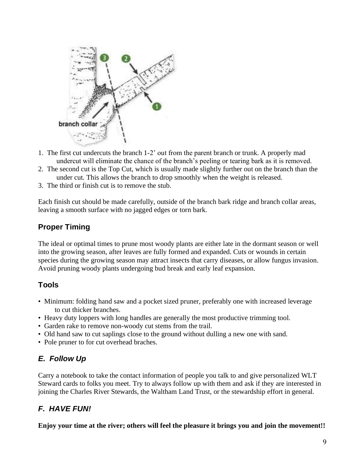

- 1. The first cut undercuts the branch 1-2' out from the parent branch or trunk. A properly mad undercut will eliminate the chance of the branch's peeling or tearing bark as it is removed.
- 2. The second cut is the Top Cut, which is usually made slightly further out on the branch than the under cut. This allows the branch to drop smoothly when the weight is released.
- 3. The third or finish cut is to remove the stub.

Each finish cut should be made carefully, outside of the branch bark ridge and branch collar areas, leaving a smooth surface with no jagged edges or torn bark.

#### **Proper Timing**

The ideal or optimal times to prune most woody plants are either late in the dormant season or well into the growing season, after leaves are fully formed and expanded. Cuts or wounds in certain species during the growing season may attract insects that carry diseases, or allow fungus invasion. Avoid pruning woody plants undergoing bud break and early leaf expansion.

#### **Tools**

- Minimum: folding hand saw and a pocket sized pruner, preferably one with increased leverage to cut thicker branches.
- Heavy duty loppers with long handles are generally the most productive trimming tool.
- Garden rake to remove non-woody cut stems from the trail.
- Old hand saw to cut saplings close to the ground without dulling a new one with sand.
- Pole pruner to for cut overhead braches.

#### *E. Follow Up*

Carry a notebook to take the contact information of people you talk to and give personalized WLT Steward cards to folks you meet. Try to always follow up with them and ask if they are interested in joining the Charles River Stewards, the Waltham Land Trust, or the stewardship effort in general.

#### *F. HAVE FUN!*

**Enjoy your time at the river; others will feel the pleasure it brings you and join the movement!!**